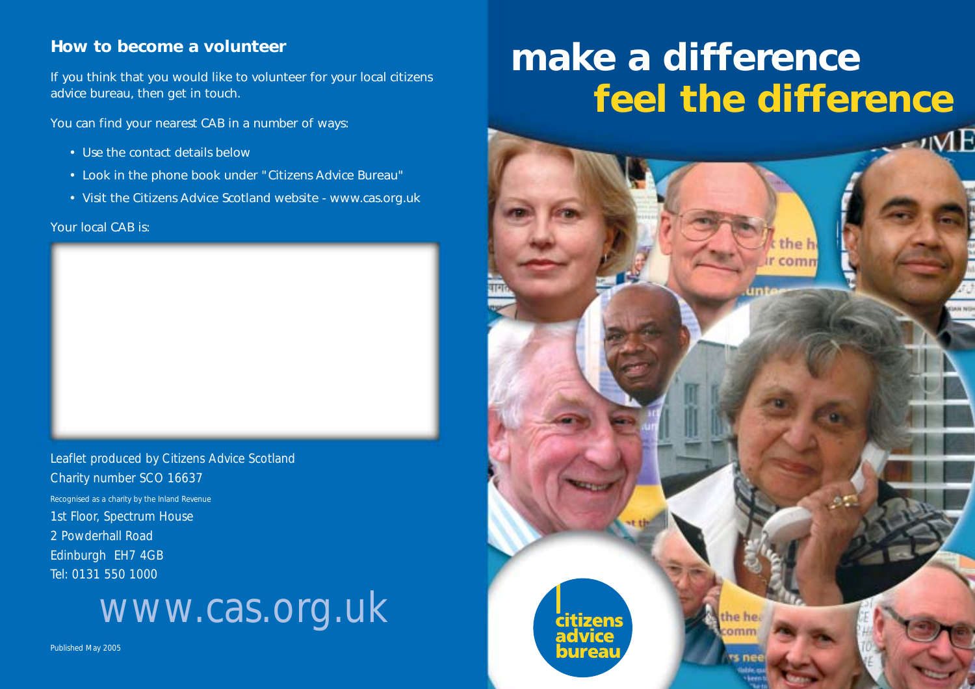#### **How to become a volunteer**

If you think that you would like to volunteer for your local citizens advice bureau, then get in touch.

You can find your nearest CAB in a number of ways:

- Use the contact details below
- Look in the phone book under "Citizens Advice Bureau"
- Visit the Citizens Advice Scotland website www.cas.org.uk

Your local CAB is:



Leaflet produced by Citizens Advice Scotland Charity number SCO 16637 Recognised as a charity by the Inland Revenue 1st Floor, Spectrum House 2 Powderhall Road Edinburgh EH7 4GB Tel: 0131 550 1000

## www.cas.org.uk

Published May 2005

# **make a difference feel the difference**